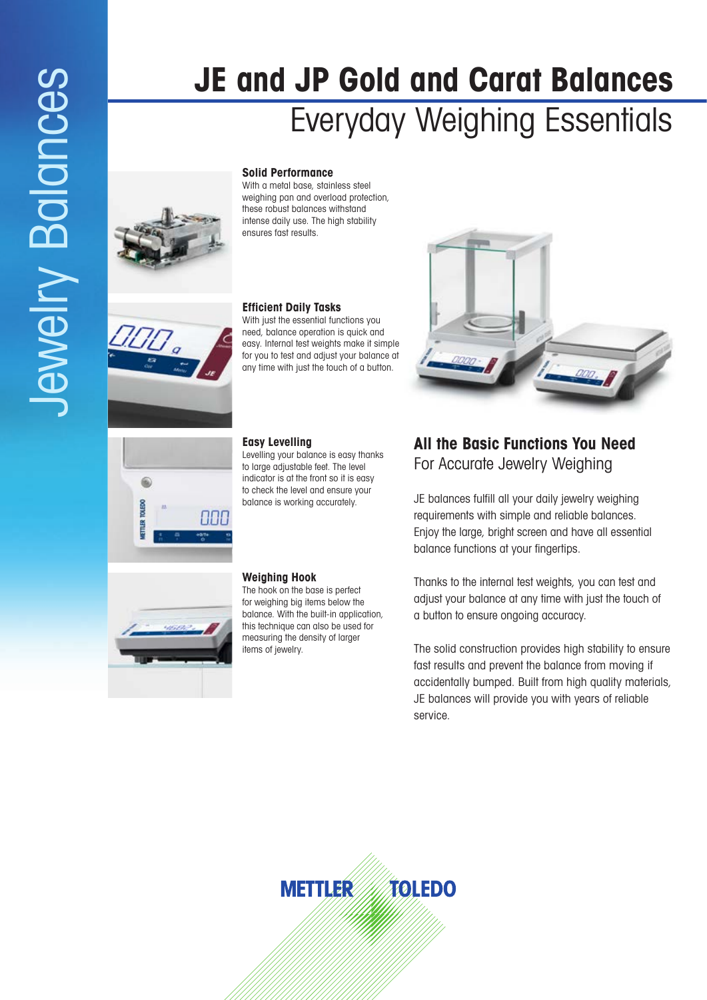# **JE and JP Gold and Carat Balances** Everyday Weighing Essentials

## **Solid Performance**

With a metal base, stainless steel weighing pan and overload protection, these robust balances withstand intense daily use. The high stability ensures fast results.

## **Efficient Daily Tasks**

With just the essential functions you need, balance operation is quick and easy. Internal test weights make it simple for you to test and adjust your balance at any time with just the touch of a button.

## **Easy Levelling**

Levelling your balance is easy thanks to large adjustable feet. The level indicator is at the front so it is easy to check the level and ensure your balance is working accurately.

### **Weighing Hook**

The hook on the base is perfect for weighing big items below the balance. With the built-in application, this technique can also be used for measuring the density of larger items of jewelry.



# **All the Basic Functions You Need** For Accurate Jewelry Weighing

JE balances fulfill all your daily jewelry weighing requirements with simple and reliable balances. Enjoy the large, bright screen and have all essential balance functions at your fingertips.

Thanks to the internal test weights, you can test and adjust your balance at any time with just the touch of a button to ensure ongoing accuracy.

The solid construction provides high stability to ensure fast results and prevent the balance from moving if accidentally bumped. Built from high quality materials, JE balances will provide you with years of reliable service.





888